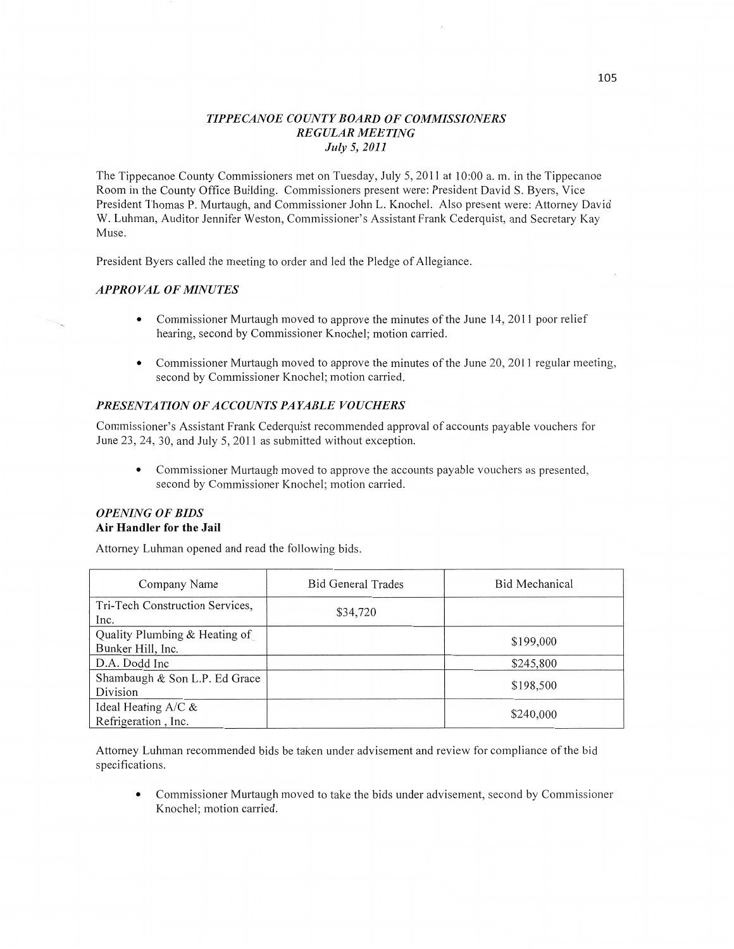# *T IPPE CANOE COUNTY BOARD* OF *COMMISSIONERS REGULAR MEETING July* 5, *2011*

The Tippecanoe County Commissioners met on Tuesday, July 5, 2011 at 10:00 a. m. in the Tippecanoe Room in the County Office Building. Commissioners present were: President David S. Byers, Vice President Thomas P. Murtaugh, and Commissioner John L. Knochel. Also present were: Attorney David W. Luhman, Auditor Jennifer Weston, Commissioner's Assistant Frank Cederquist, and Secretary Kay Muse.

President Byers called the meeting to order and led the Pledge of Allegiance.

# *APPROVAL* OF *MINUTES*

- **0** Commissioner Murtaugh moved to approve the minutes of the June 14, 2011 poor relief hearing, second by Commissioner Knochel; motion carried.
- **0** Commissioner Murtaugh moved to approve the minutes of the June 20, 2011 regular meeting, second by Commissioner Knochel; motion carried.

# *PRESENTATION* OF *ACCOUNTS PAYABLE VOUCHERS*

Commissioner's Assistant Frank Cederquist recommended approval of accounts payable vouchers for June 23, 24, 30, and July 5, 2011 as submitted without exception.

**0** Commissioner Murtaugh moved to approve the accounts payable vouchers as presented, second by Commissioner Knochel; motion carried.

# *OPENING* OF *BIDS*  Air **Handler** for the Jail

Attorney Luhman opened and read the following bids.

| Company Name                                       | <b>Bid General Trades</b> | Bid Mechanical |
|----------------------------------------------------|---------------------------|----------------|
| Tri-Tech Construction Services,<br>Inc.            | \$34,720                  |                |
| Quality Plumbing & Heating of<br>Bunker Hill, Inc. |                           | \$199,000      |
| D.A. Dodd Inc                                      |                           | \$245,800      |
| Shambaugh & Son L.P. Ed Grace<br>Division          |                           | \$198,500      |
| Ideal Heating $A/C &$<br>Refrigeration, Inc.       |                           | \$240,000      |

Attorney Luhman recommended bids be **taken** under advisement and review for compliance of the bid specifications.

**0** Commissioner Murtaugh moved to take the bids under advisement, second by Commissioner Knochel; motion carried.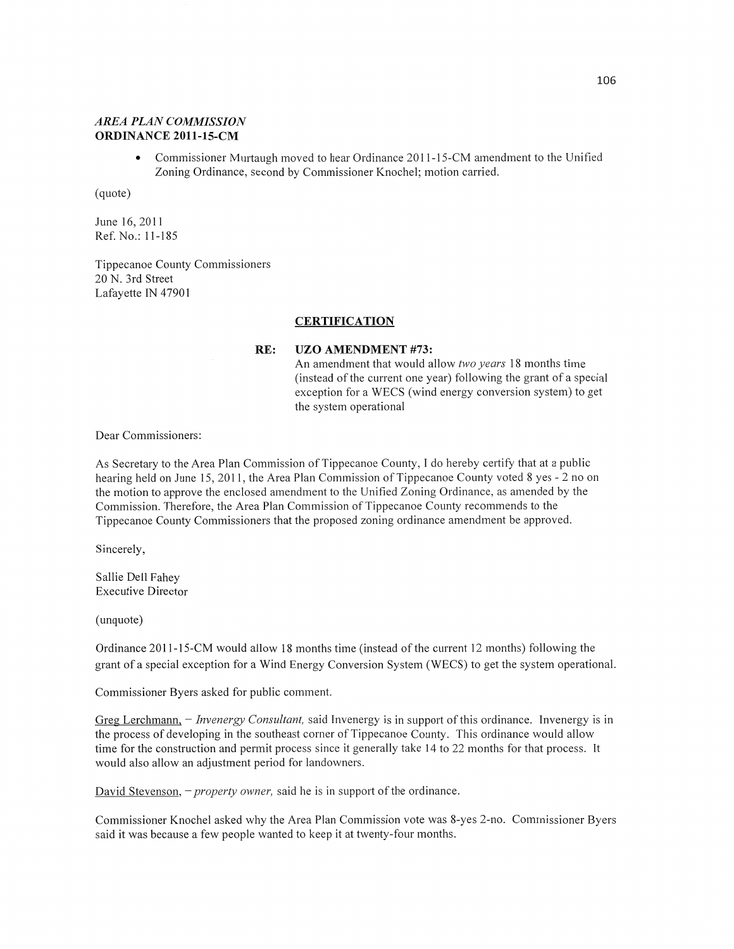# *AREA PLAN COMMISSION*  **ORDINANCE 2011-15-CM**

**•** Commissioner Murtaugh moved to hear Ordinance 2011-15-CM amendment to the Unified Zoning Ordinance, second by Commissioner Knochel; motion carried.

(quote)

June 16, 2011 Ref. No.: 11-185

Tippecanoe County Commissioners 20 N. 3rd Street Lafayette IN 47901

### **CERTIFICATION**

#### RE: UZO **AMENDMENT #73:**

An amendment that would allow two *years* 18 months time (instead of the current one year) following the grant of *a* special exception for a WECS (wind energy conversion system) to ge<sup>t</sup> the system operational

Dear Commissioners:

As Secretary to the Area Plan Commission of Tippecanoe County, I do hereby certify that at a public hearing held on June 15, 201 1, the Area Plan Commission of Tippecanoe County voted 8 yes **—** 2 no on the motion to approve the enclosed amendment to the Unified Zoning Ordinance, as amended by the Commission. Therefore, the Area Plan Commission of Tippecanoe County recommends to the Tippecanoe County Commissioners that the proposed zoning ordinance amendment be approved.

Sincerely,

Sallie Dell Fahey Executive Director

(unquote)

Ordinance 2011-15-CM would allow 18 months time (instead of the current 12 months) following the grant of a special exception for a Wind Energy Conversion System (WECS) to get the system operational.

Commissioner Byers asked for public comment.

Greg Lerchmann, - *Invenergy Consultant,* said Invenergy is in support of this ordinance. Invenergy is in the process of developing in the southeast corner of Tippecanoe County. This ordinance would allow time for the construction and permit process since it generally take 14 to 22 months for that process. It would also allow an adjustment period for landowners.

David Stevenson, **-** *property owner,* said he is in support of the ordinance.

Commissioner Knochel asked why the Area Plan Commission vote was 8-yes 2—no. Commissioner Byers said it was because a few people wanted to keep it at twenty-four months.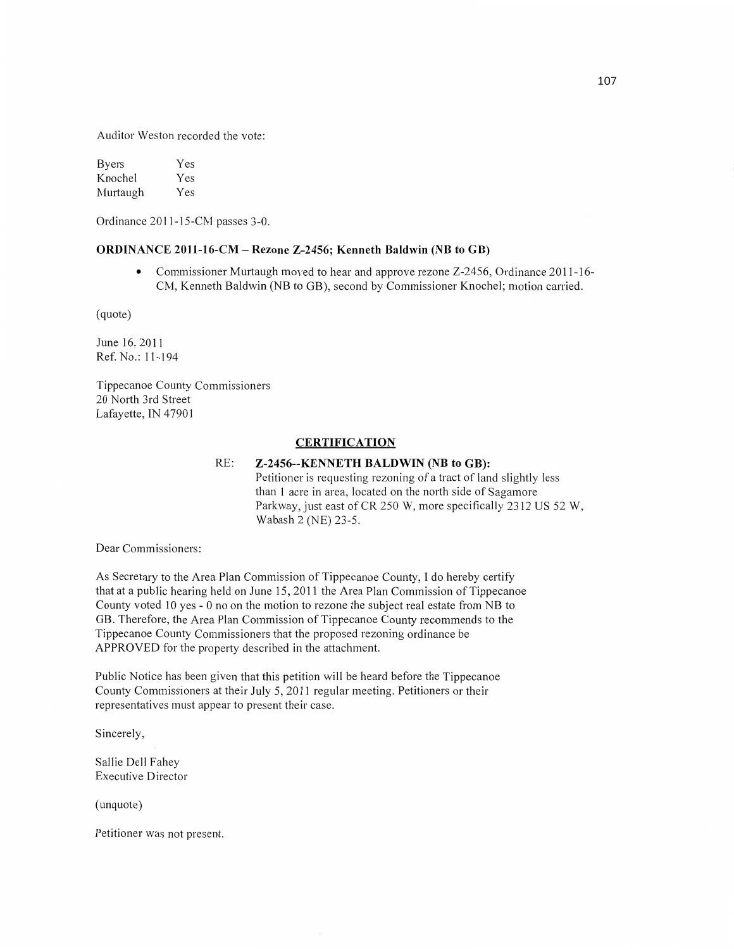Auditor Weston recorded the vote:

Byers Yes Knochel Yes Murtaugh Yes

Ordinance 2011—15—CM passes 3-0.

#### **ORDINANCE 2011-16-CM — Rezone Z—2456; Kenneth Baldwin** (NB to GB)

**0** Commissioner Murtaugh moved to hear and approve rezone Z-2456, Ordinance 2011-16- CM, Kenneth Baldwin (NB to GB), second by Commissioner Knochel; motion carried.

(quote)

June 16, 2011 Ref. No.: 11-194

Tippecanoe County Commissioners 20 North 3rd Street Lafayette, IN 47901

# **CERTIFICATION**

#### RE: **Z-2456--KENNETH BALDWIN** (NB to **GB):**

Petitioner is requesting rezoning of a tract of land slightly less than 1 acre in area, located on the **north** side of Sagamore Parkway, just east of CR 250 W, more specifically 2312 US 52 W, **Wabash** 2 (NE) 23-5.

Dear Commissioners:

As Secretary to the Area Plan Commission of Tippecanoe County, **I** do hereby certify **that** at **a** public hearing held on June 15, 2011 the Area Plan Commission of Tippecanoe County voted 10 yes *-* 0 no on the motion to rezone the subject real estate from NB to GB. Therefore, the Area Plan Commission of Tippecanoe County recommends to the Tippecanoe County Commissioners that the proposed rezoning ordinance be APPROVED for the property described in the attachment.

Public Notice has been given that this petition will be heard before the Tippecanoe County Commissioners at their July 5, 2011 regular meeting. Petitioners or their representatives must appear to present their case.

Sincerely,

Sallie Dell Fahey Executive Director

(unquote)

Petitioner was not present.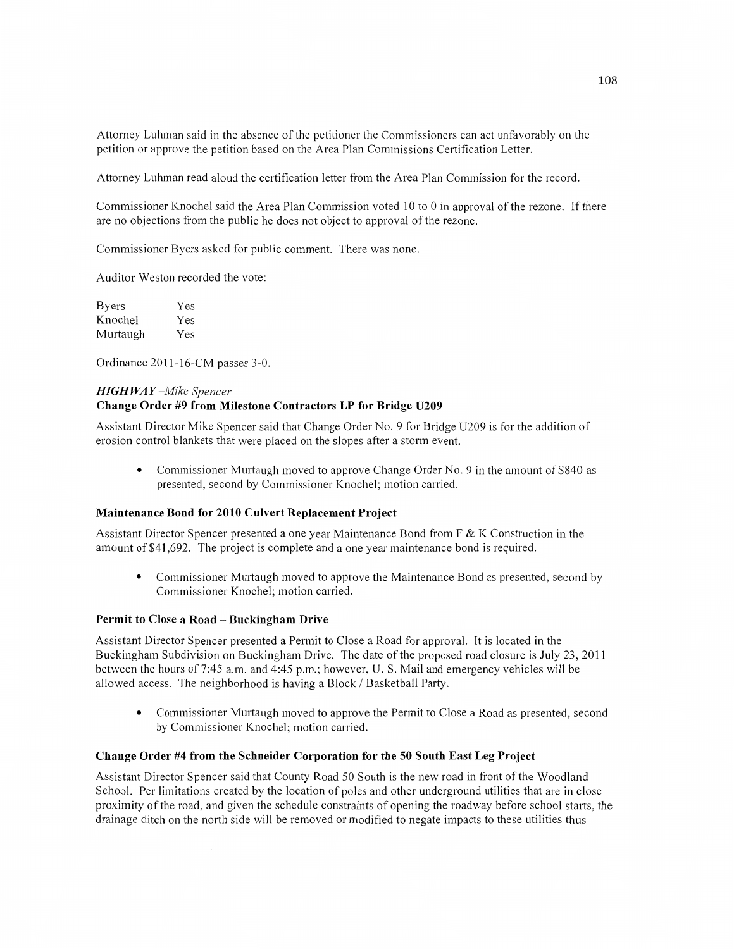Attorney Luhman said in the absence of the petitioner the Commissioners can act unfavorably on the petition or approve the petition based on the Area Plan Commissions Certification Letter.

Attorney Luhman read aloud the certification letter from the Area Plan Commission for the record.

Commissioner Knochel said the Area Plan Commission voted 10 to **0** in approval of the rezone. If there are no objections from the public he does not object to approval of the rezone.

Commissioner Byers asked for public comment. There was none.

Auditor Weston recorded the vote:

| <b>Byers</b> | Yes |
|--------------|-----|
| Knochel      | Yes |
| Murtaugh     | Yes |

Ordinance 2011-16-CM passes 3-0.

#### *HIGH* WA *Y —Mike Spencer*  **Change Order** #9 **from Milestone Contractors** LP for **Bridge U209**

Assistant Director Mike Spencer said that Change Order No. **9** for Bridge U209 is for the addition of erosion control blankets that were placed on the slopes afier a storm event.

**0** Commissioner Murtaugh moved to approve Change Order No. 9 in the amount of \$840 as presented, second by Commissioner Knochel; motion carried.

### **Maintenance Bond** for **2010 Culvert Replacement Project**

Assistant Director Spencer presented a one year Maintenance Bond from F & K Construction in the amount of \$41 ,692. The project is complete and a one year maintenance bond is required.

Commissioner Murtaugh moved to approve the Maintenance Bond as presented, second by Commissioner Knochel; motion carried.

#### **Permit to Close a Road – Buckingham Drive**

Assistant Director Spencer presented a Permit to Close a Road for approval. It is located in the Buckingham Subdivision on Buckingham Drive. The date of the proposed road closure is July 23, 2011 between the hours of 7:45 am. and 4:45 p.m.; however, U. S. Mail and emergency vehicles will be allowed access. The neighborhood is having **a** Block **/** Basketball Party.

**0** Commissioner Muttaugh moved to approve the Permit to Close **a** Road as presented, second by Commissioner Knochel; motion carried.

#### **Change** Order #4 **from** the **Schneider Corporation** for the 50 **South East** Leg **Project**

Assistant Director Spencer said that County Road 50 South is the new road in front of the Woodland School. Per limitations created by the location of poles and other underground utilities that are in close proximity of the road, and given the schedule constraints of opening the roadway before school starts, the drainage ditch on the north side will be removed or modified to negate impacts to these utilities thus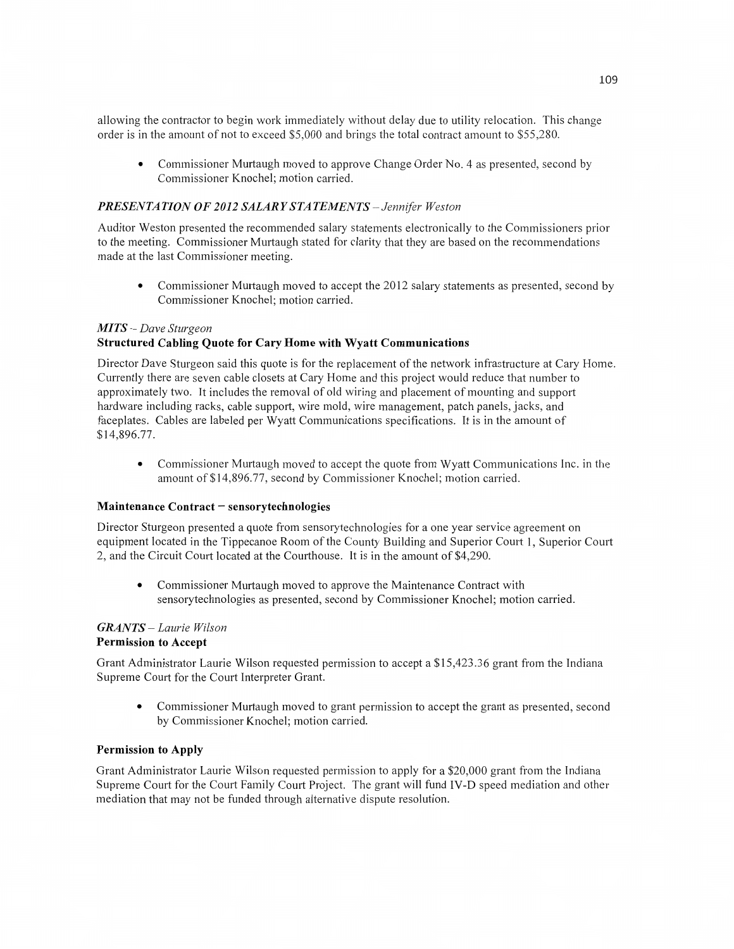allowing the contractor to begin work immediately without delay due to utility relocation. This change order is in the amount of not to exceed \$5,000 and brings the total contract amount to \$55,280.

• Commissioner Murtaugh moved to approve Change Order No. 4 as presented, second by Commissioner Knochel; motion carried.

## *PRESENTATION* OF *2012 SALAR Y S* TA *T EMEN T S* **~** *Jennifer Weston*

Auditor Weston presented the recommended salary statements electronically to the Commissioners prior to the meeting. Commissioner Murtaugh stated for clarity that they are based on the recommendations made at the last Commissioner meeting.

**0** Commissioner Murtaugh moved to accept the 2012 salary statements as presented, second by Commissioner Knochel; motion carried.

#### MI *T S* —- *Dave Sturgeon*  **Structured Cabling Quote** for **Cary Home with Wyatt Communications**

Director Dave Sturgeon said this quote is for the replacement of the network infrastructure at Cary Home. Currently there are seven cable closets at Cary Home and this project would reduce that number to approximately two. It includes the removal of old wiring and placement of mounting and support hardware including racks, cable support, wire mold, wire management, patch panels, jacks, and faceplates. Cables are labeled per Wyatt Communications specifications. It is in the amount of \$14,896.77.

**•** Commissioner Murtaugh moved to accept the quote from Wyatt Communications Inc. in the amount of \$14,896.77, second by Commissioner Knochel; motion carried.

#### **Maintenance Contract** *-* **sensorytechnologies**

Director Sturgeon presented a quote from sensorytechnologies for a one year service agreement on equipment located in the Tippecanoe Room of the County Building and Superior Court 1, Superior Court 2, and the Circuit Court located at the Courthouse. It is in the amount of \$4,290.

**0** Commissioner Murtaugh moved to approve the Maintenance Contract with sensorytechnologies as presented, second by Commissioner Knochel; motion carried.

#### *GRANTS — Laurie Wilson*  **Permission** to **Accept**

Grant Administrator Laurie **Wilson** requested permission to accept a \$15,423.36 grant from the Indiana Supreme Court for the Court Interpreter Grant.

**0** Commissioner Murtaugh moved to grant permission to accept the grant as presented, second by Commissioner Knochel; motion carried.

#### **Permission** to **Apply**

Grant Administrator Laurie Wilson requested permission to apply for a \$20,000 grant from the Indiana Supreme Court for the Court Family Court Project. The grant will fund **IV-D** speed mediation and other mediation that may not be funded through alternative dispute resolution.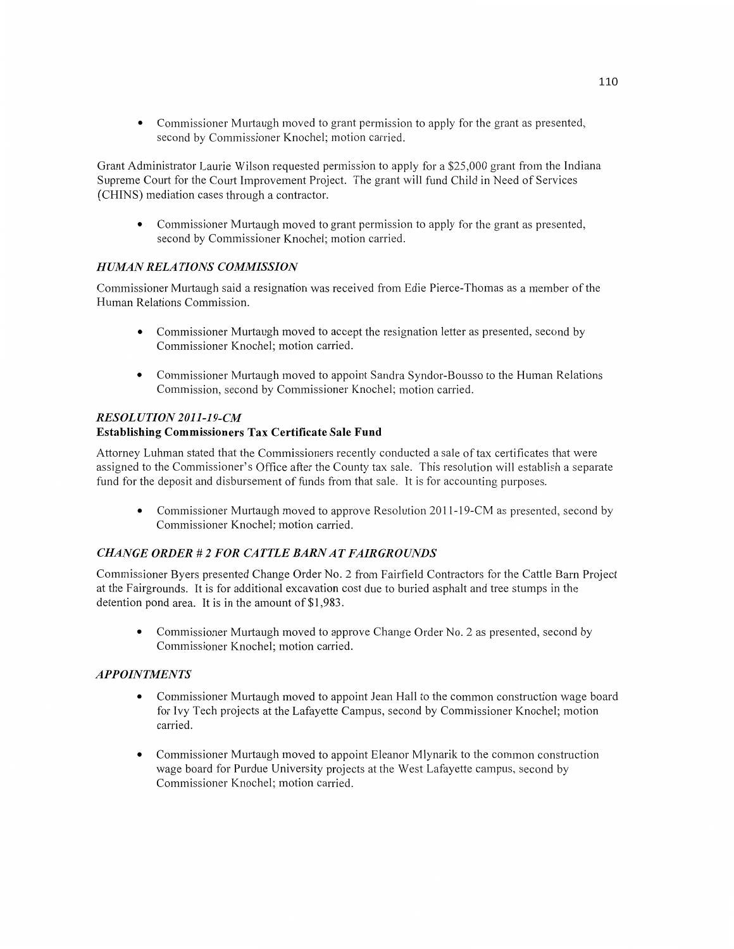**0** Commissioner Murtaugh moved to grant permission to apply for the grant as presented, second by Commissioner Knochel; motion carried.

Grant Administrator Laurie Wilson requested permission to apply for a \$25,000 grant from the Indiana Supreme Court for the Court Improvement Project. The grant will fund Child in Need of Services (CHINS) mediation cases through a contractor.

**0** Commissioner Murtaugh moved to grant permission to apply for the grant as presented, second by Commissioner Knochel; motion carried.

# **HUMAN RELATIONS COMMISSION**

Commissioner Murtaugh said a resignation was received from Edie Pierce-Thomas as a member of the Human Relations Commission.

- **0** Commissioner Murtaugh moved to accept the resignation letter as presented, second by Commissioner Knochel; motion carried.
- **0** Commissioner Murtaugh moved to appoint Sandra Syndor-Bousso to the Human Relations Commission, second by Commissioner Knochel; motion carried.

# *RESOLUTION 2011-19-CM*

# **Establishing Commissioners** Tax **Certificate Sale Fund**

Attorney Luhman stated that the Commissioners recently conducted **a** sale of tax certificates that were assigned to the Commissioner's Office after the County tax sale. This resolution will establish a separate fund for the deposit and disbursement of funds from that sale. It is for accounting purposes.

• Commissioner Murtaugh moved to approve Resolution 2011-19-CM as presented, second by Commissioner Knochel; motion carried.

# *CHANGE ORDER* **#** *2* FOR CA *T T* LE *BARN* AT *FAIR GROUNDS*

Commissioner Byers presented Change Order No. 2 from Fairfield Contractors for the Cattle Barn Project at the Fairgrounds. It is for additional excavation cost due to buried asphalt and tree stumps in the detention pond area. It is in the amount of \$1,983.

**0** Commissioner Murtaugh moved to approve Change Order No.2 as presented, second by Commissioner Knochel; motion carried.

# *APPOINTMENTS*

- **0** Commissioner Murtaugh moved to appoint Jean Hall to the common construction wage board for Ivy Tech projects at the Lafayette Campus, second by Commissioner Knochel; motion carried.
- **0** Commissioner Murtaugh moved to appoint Eleanor Mlynarik to the common construction wage board for Purdue University projects at the West Lafayette campus, second by Commissioner Knochel; motion carried.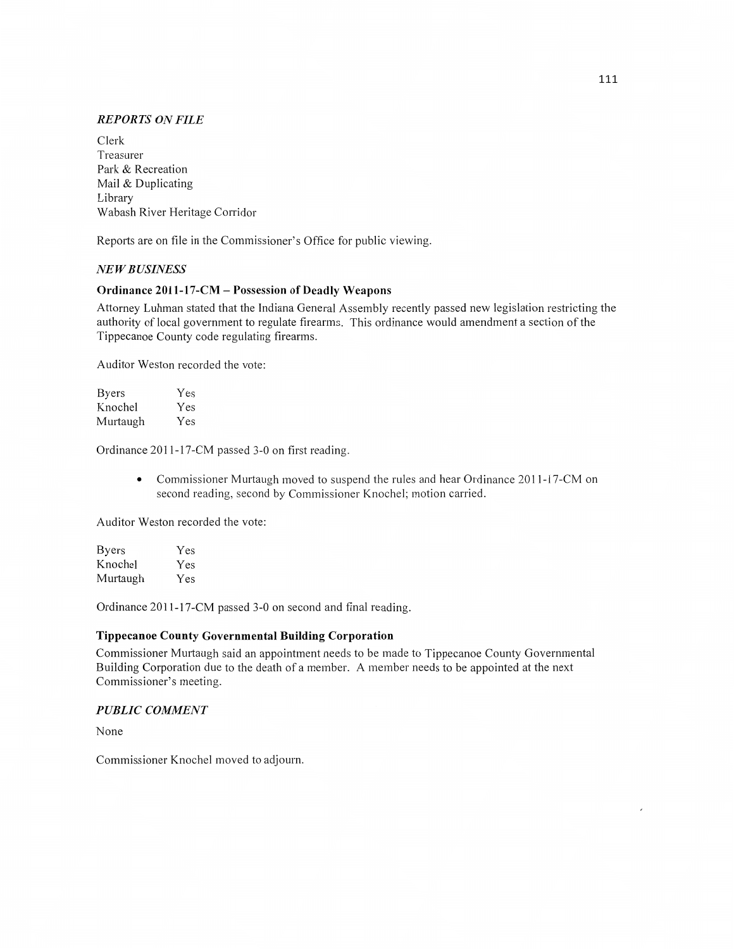### *REPORTS* ON *FILE*

Clerk Treasurer Park & Recreation Mail & Duplicating Library Wabash River Heritage Corridor

Reports are on file in the Commissioner's Office for public viewing.

### NE *WBUSINESS*

## **Ordinance 2011-17-CM** - Possession of **Deadly Weapons**

Attorney Luhman stated that the Indiana General Assembly recently passed new legislation restricting the authority of local government to regulate firearms. This ordinance would amendment **a** section of the Tippecanoe County code regulating firearms.

Auditor Weston recorded the vote:

| <b>Byers</b> | Yes |
|--------------|-----|
| Knochel      | Yes |
| Murtaugh     | Yes |

Ordinance 2011—17—CM passed 3-0 on first reading.

**•** Commissioner Murtaugh moved to suspend the rules and hear Ordinance 2011-17-CM on second reading, second by Commissioner Knochel; motion carried.

Auditor Weston recorded the vote:

| <b>Byers</b> | Yes |
|--------------|-----|
| Knochel      | Yes |
| Murtaugh     | Yes |

Ordinance 2011-17-CM passed 3-0 on second and final reading.

#### **Tippecanoe County Governmental Building Corporation**

Commissioner Murtaugh said an appointment needs to be made to Tippecanoe County Governmental Building Corporation due to the death of a member. A member needs to be appointed at the next Commissioner's meeting.

#### *PUBLIC COMMENT*

None

Commissioner Knochel moved to adjourn.